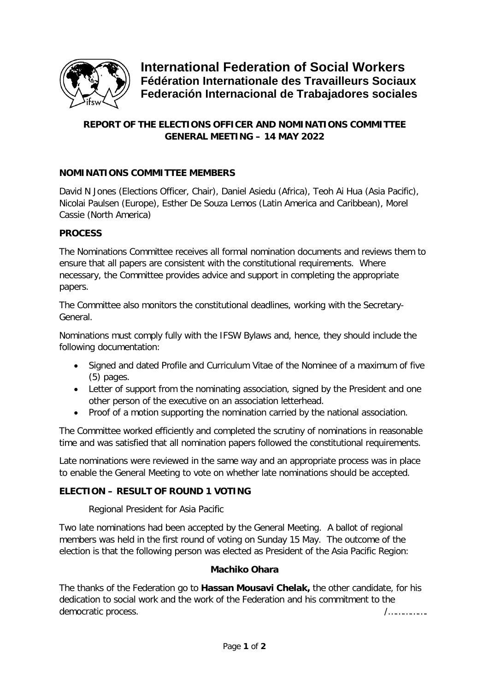

**International Federation of Social Workers Fédération Internationale des Travailleurs Sociaux Federación Internacional de Trabajadores sociales**

# **REPORT OF THE ELECTIONS OFFICER AND NOMINATIONS COMMITTEE GENERAL MEETING – 14 MAY 2022**

## **NOMINATIONS COMMITTEE MEMBERS**

David N Jones (Elections Officer, Chair), Daniel Asiedu (Africa), Teoh Ai Hua (Asia Pacific), Nicolai Paulsen (Europe), Esther De Souza Lemos (Latin America and Caribbean), Morel Cassie (North America)

## **PROCESS**

The Nominations Committee receives all formal nomination documents and reviews them to ensure that all papers are consistent with the constitutional requirements. Where necessary, the Committee provides advice and support in completing the appropriate papers.

The Committee also monitors the constitutional deadlines, working with the Secretary-General.

Nominations must comply fully with the IFSW Bylaws and, hence, they should include the following documentation:

- Signed and dated Profile and Curriculum Vitae of the Nominee of a maximum of five (5) pages.
- Letter of support from the nominating association, signed by the President and one other person of the executive on an association letterhead.
- Proof of a motion supporting the nomination carried by the national association.

The Committee worked efficiently and completed the scrutiny of nominations in reasonable time and was satisfied that all nomination papers followed the constitutional requirements.

Late nominations were reviewed in the same way and an appropriate process was in place to enable the General Meeting to vote on whether late nominations should be accepted.

## **ELECTION – RESULT OF ROUND 1 VOTING**

Regional President for Asia Pacific

Two late nominations had been accepted by the General Meeting. A ballot of regional members was held in the first round of voting on Sunday 15 May. The outcome of the election is that the following person was elected as President of the Asia Pacific Region:

## **Machiko Ohara**

The thanks of the Federation go to **Hassan Mousavi Chelak,** the other candidate, for his dedication to social work and the work of the Federation and his commitment to the democratic process.  $\blacksquare$